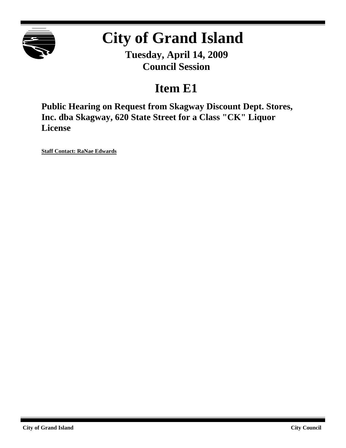

# **City of Grand Island**

**Tuesday, April 14, 2009 Council Session**

## **Item E1**

**Public Hearing on Request from Skagway Discount Dept. Stores, Inc. dba Skagway, 620 State Street for a Class "CK" Liquor License**

**Staff Contact: RaNae Edwards**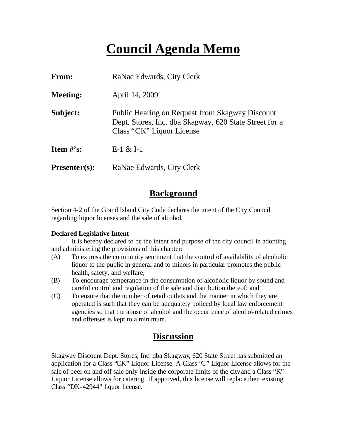## **Council Agenda Memo**

| <b>From:</b>    | RaNae Edwards, City Clerk                                                                                                              |
|-----------------|----------------------------------------------------------------------------------------------------------------------------------------|
| <b>Meeting:</b> | April 14, 2009                                                                                                                         |
| Subject:        | Public Hearing on Request from Skagway Discount<br>Dept. Stores, Inc. dba Skagway, 620 State Street for a<br>Class "CK" Liquor License |
| Item $\#$ 's:   | $E-1 & 2E-1$                                                                                                                           |
| $Presenter(s):$ | RaNae Edwards, City Clerk                                                                                                              |

#### **Background**

Section 4-2 of the Grand Island City Code declares the intent of the City Council regarding liquor licenses and the sale of alcohol.

#### **Declared Legislative Intent**

It is hereby declared to be the intent and purpose of the city council in adopting and administering the provisions of this chapter:

- (A) To express the community sentiment that the control of availability of alcoholic liquor to the public in general and to minors in particular promotes the public health, safety, and welfare;
- (B) To encourage temperance in the consumption of alcoholic liquor by sound and careful control and regulation of the sale and distribution thereof; and
- (C) To ensure that the number of retail outlets and the manner in which they are operated is such that they can be adequately policed by local law enforcement agencies so that the abuse of alcohol and the occurrence of alcohol-related crimes and offenses is kept to a minimum.

#### **Discussion**

Skagway Discount Dept. Stores, Inc. dba Skagway, 620 State Street has submitted an application for a Class "CK" Liquor License. A Class "C" Liquor License allows for the sale of beer on and off sale only inside the corporate limits of the city and a Class "K" Liquor License allows for catering. If approved, this license will replace their existing Class "DK-42944" liquor license.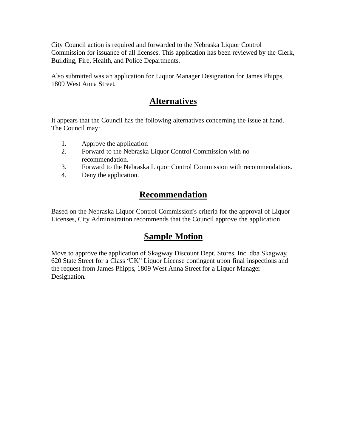City Council action is required and forwarded to the Nebraska Liquor Control Commission for issuance of all licenses. This application has been reviewed by the Clerk, Building, Fire, Health, and Police Departments.

Also submitted was an application for Liquor Manager Designation for James Phipps, 1809 West Anna Street.

#### **Alternatives**

It appears that the Council has the following alternatives concerning the issue at hand. The Council may:

- 1. Approve the application.
- 2. Forward to the Nebraska Liquor Control Commission with no recommendation.
- 3. Forward to the Nebraska Liquor Control Commission with recommendations.
- 4. Deny the application.

### **Recommendation**

Based on the Nebraska Liquor Control Commission's criteria for the approval of Liquor Licenses, City Administration recommends that the Council approve the application.

### **Sample Motion**

Move to approve the application of Skagway Discount Dept. Stores, Inc. dba Skagway, 620 State Street for a Class "CK" Liquor License contingent upon final inspections and the request from James Phipps, 1809 West Anna Street for a Liquor Manager Designation.